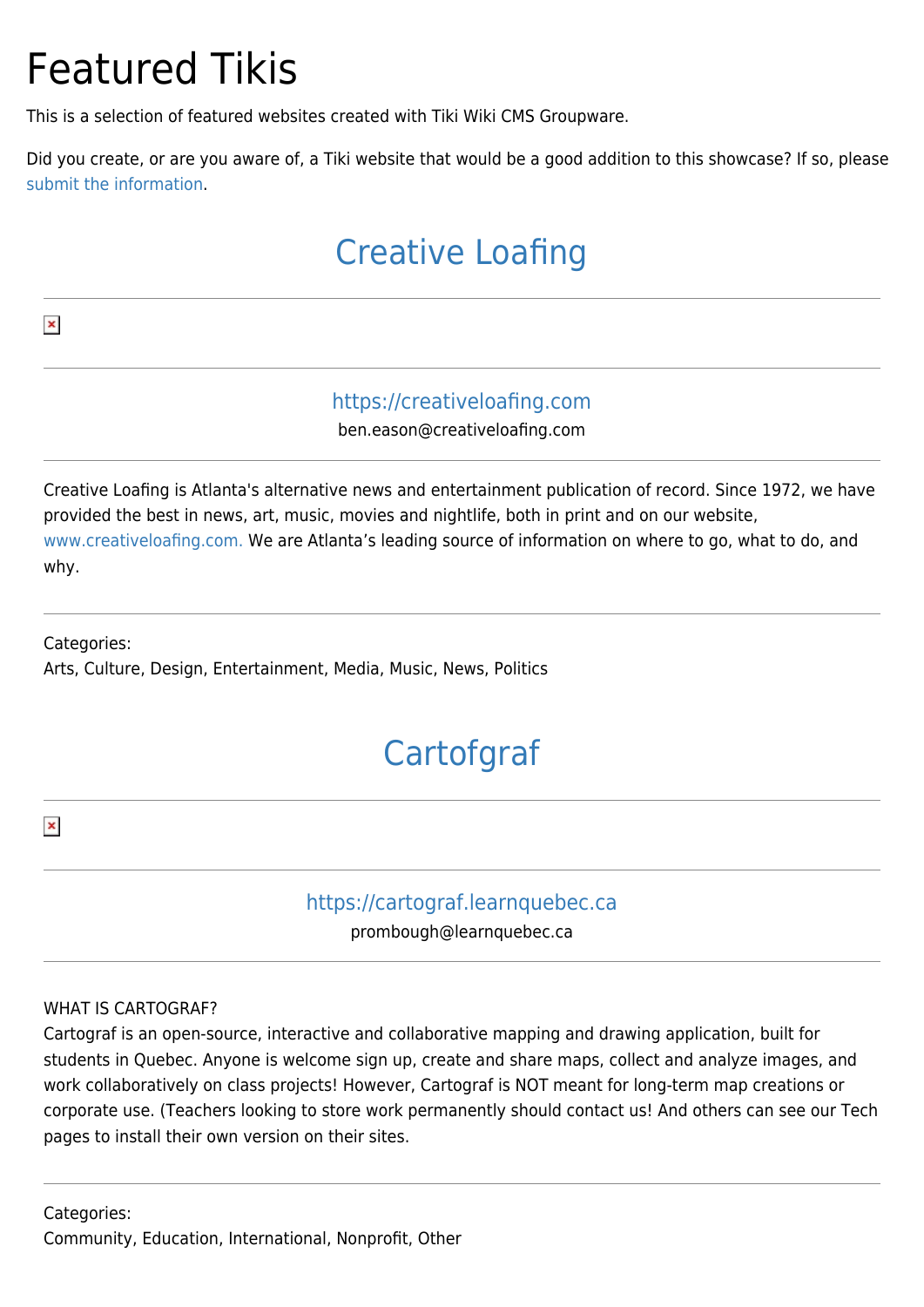# Featured Tikis

This is a selection of featured websites created with Tiki Wiki CMS Groupware.

Did you create, or are you aware of, a Tiki website that would be a good addition to this showcase? If so, please [submit the information.](https://translation.tiki.org/Nominate-a-Site)

### [Creative Loafing](https://translation.tiki.org/item12755?from=Featured+Tikis)

 $\pmb{\times}$ 

### <https://creativeloafing.com>

ben.eason@creativeloafing.com

Creative Loafing is Atlanta's alternative news and entertainment publication of record. Since 1972, we have provided the best in news, art, music, movies and nightlife, both in print and on our website, [www.creativeloafing.com.](http://www.creativeloafing.com.) We are Atlanta's leading source of information on where to go, what to do, and why.

Categories: Arts, Culture, Design, Entertainment, Media, Music, News, Politics

# **[Cartofgraf](https://translation.tiki.org/item12739?from=Featured+Tikis)**

 $\pmb{\times}$ 

### <https://cartograf.learnquebec.ca>

prombough@learnquebec.ca

#### WHAT IS CARTOGRAF?

Cartograf is an open-source, interactive and collaborative mapping and drawing application, built for students in Quebec. Anyone is welcome sign up, create and share maps, collect and analyze images, and work collaboratively on class projects! However, Cartograf is NOT meant for long-term map creations or corporate use. (Teachers looking to store work permanently should contact us! And others can see our Tech pages to install their own version on their sites.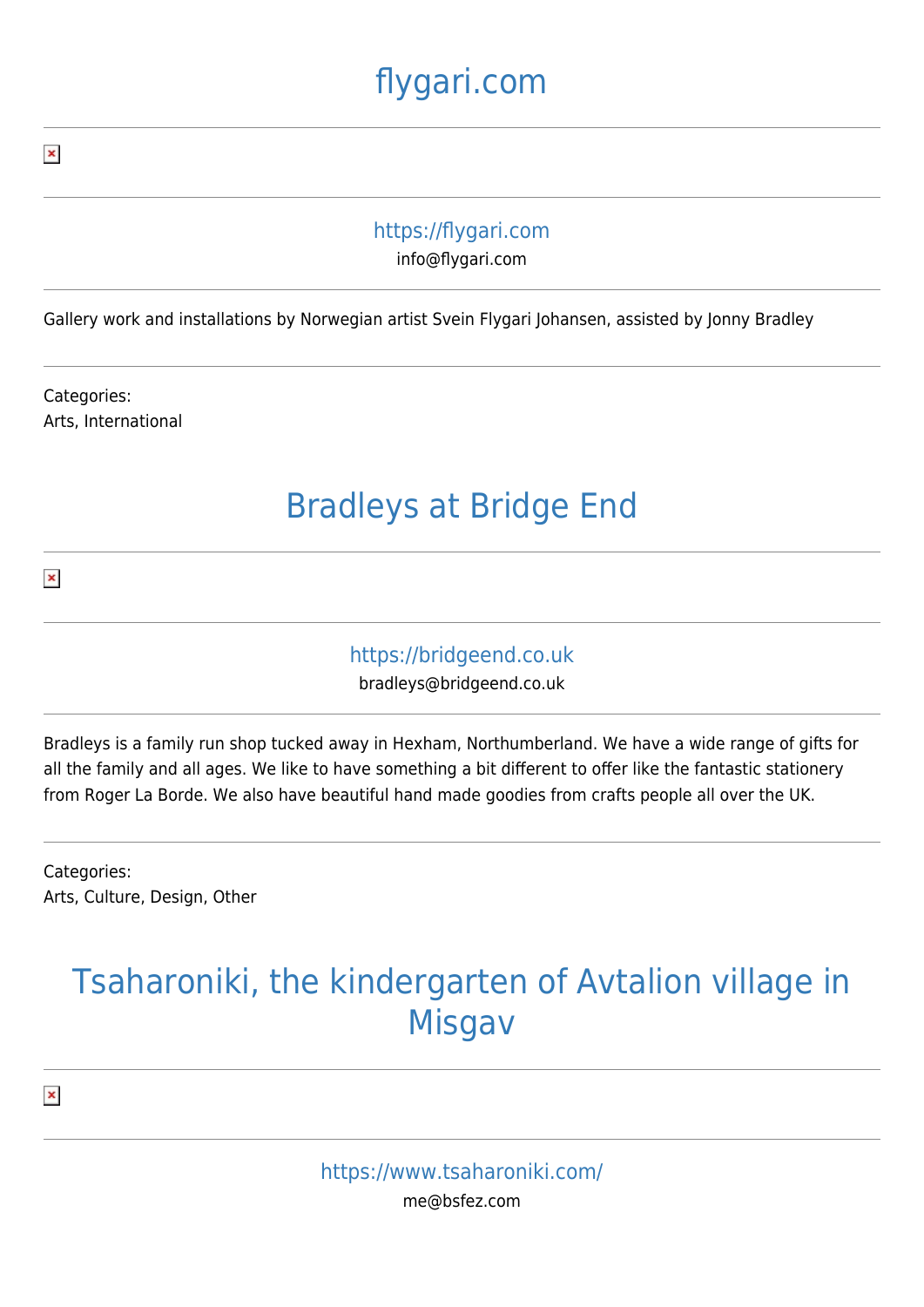# [flygari.com](https://translation.tiki.org/item12738?from=Featured+Tikis)

#### <https://flygari.com>

info@flygari.com

Gallery work and installations by Norwegian artist Svein Flygari Johansen, assisted by Jonny Bradley

Categories: Arts, International

### [Bradleys at Bridge End](https://translation.tiki.org/item12737?from=Featured+Tikis)

 $\pmb{\times}$ 

#### <https://bridgeend.co.uk>

bradleys@bridgeend.co.uk

Bradleys is a family run shop tucked away in Hexham, Northumberland. We have a wide range of gifts for all the family and all ages. We like to have something a bit different to offer like the fantastic stationery from Roger La Borde. We also have beautiful hand made goodies from crafts people all over the UK.

Categories: Arts, Culture, Design, Other

### [Tsaharoniki, the kindergarten of Avtalion village in](https://translation.tiki.org/item12316?from=Featured+Tikis) [Misgav](https://translation.tiki.org/item12316?from=Featured+Tikis)

 $\pmb{\times}$ 

 $\pmb{\times}$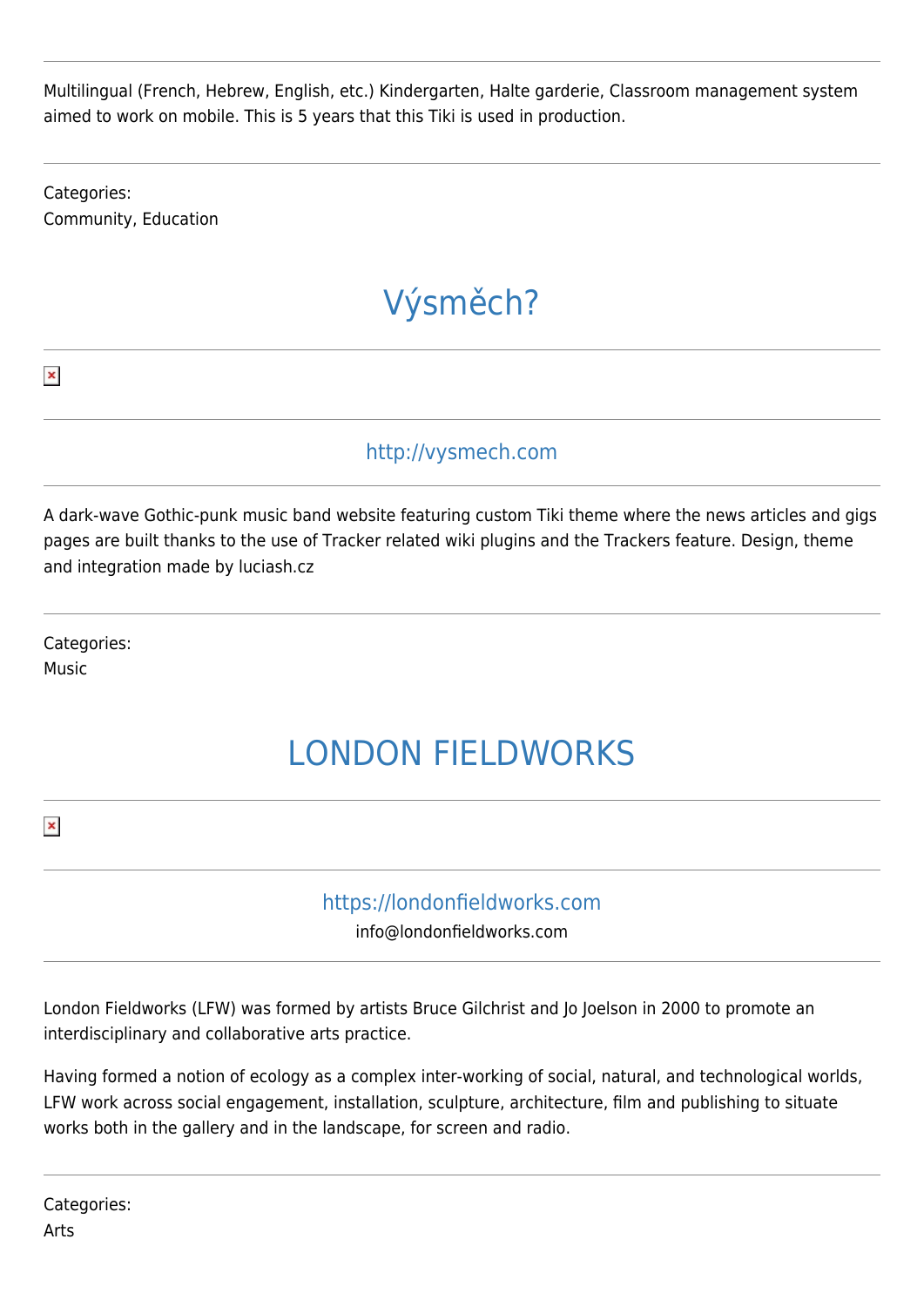Multilingual (French, Hebrew, English, etc.) Kindergarten, Halte garderie, Classroom management system aimed to work on mobile. This is 5 years that this Tiki is used in production.

Categories: Community, Education

# [Výsměch?](https://translation.tiki.org/item10404?from=Featured+Tikis)

<http://vysmech.com>

A dark-wave Gothic-punk music band website featuring custom Tiki theme where the news articles and gigs pages are built thanks to the use of Tracker related wiki plugins and the Trackers feature. Design, theme and integration made by luciash.cz

Categories: Music

# [LONDON FIELDWORKS](https://translation.tiki.org/item9956?from=Featured+Tikis)

 $\pmb{\times}$ 

 $\pmb{\times}$ 

#### <https://londonfieldworks.com>

info@londonfieldworks.com

London Fieldworks (LFW) was formed by artists Bruce Gilchrist and Jo Joelson in 2000 to promote an interdisciplinary and collaborative arts practice.

Having formed a notion of ecology as a complex inter-working of social, natural, and technological worlds, LFW work across social engagement, installation, sculpture, architecture, film and publishing to situate works both in the gallery and in the landscape, for screen and radio.

Categories: Arts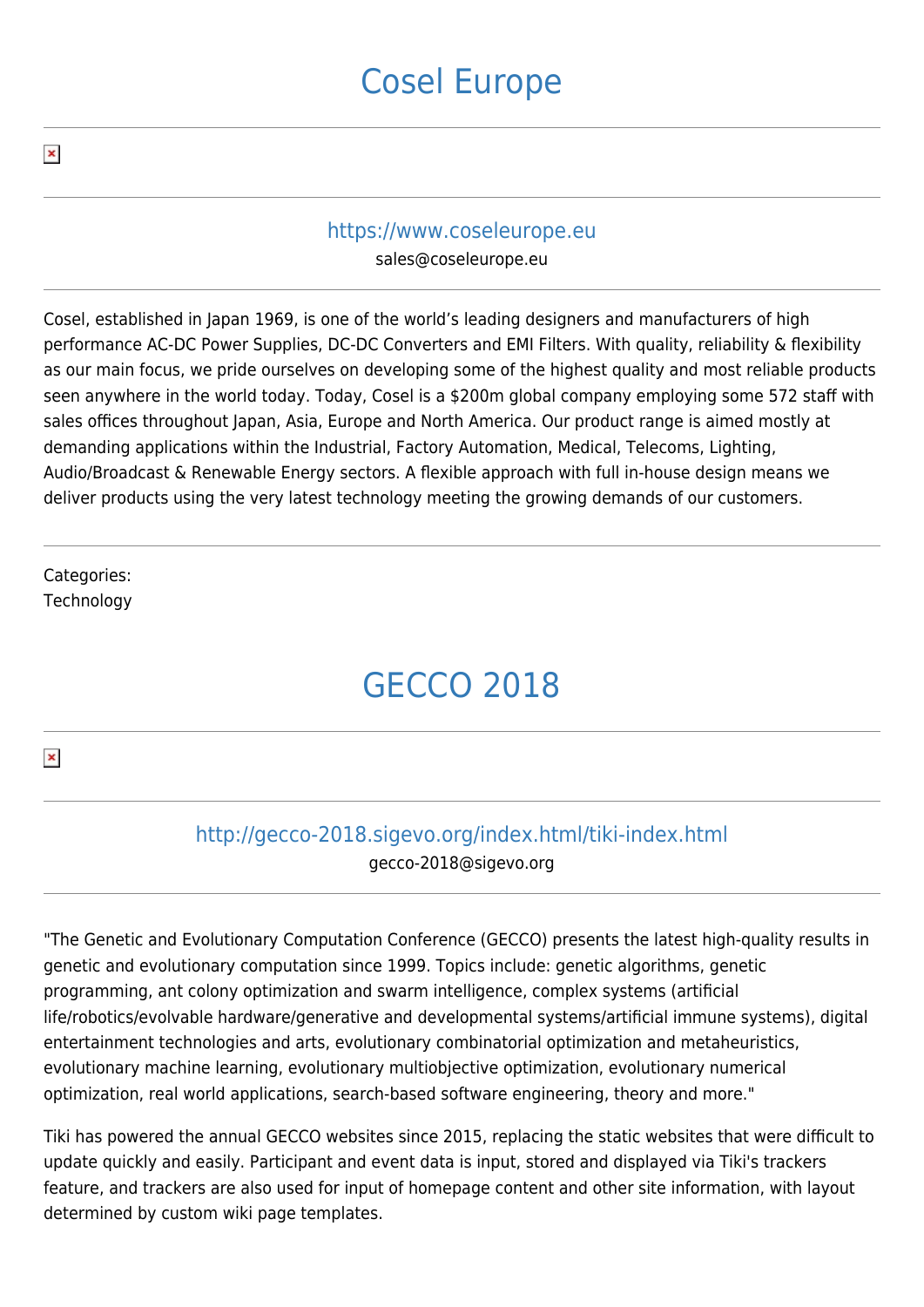### [Cosel Europe](https://translation.tiki.org/item9955?from=Featured+Tikis)

#### <https://www.coseleurope.eu>

sales@coseleurope.eu

Cosel, established in Japan 1969, is one of the world's leading designers and manufacturers of high performance AC-DC Power Supplies, DC-DC Converters and EMI Filters. With quality, reliability & flexibility as our main focus, we pride ourselves on developing some of the highest quality and most reliable products seen anywhere in the world today. Today, Cosel is a \$200m global company employing some 572 staff with sales offices throughout Japan, Asia, Europe and North America. Our product range is aimed mostly at demanding applications within the Industrial, Factory Automation, Medical, Telecoms, Lighting, Audio/Broadcast & Renewable Energy sectors. A flexible approach with full in-house design means we deliver products using the very latest technology meeting the growing demands of our customers.

Categories: **Technology** 

# [GECCO 2018](https://translation.tiki.org/item9954?from=Featured+Tikis)

 $\pmb{\times}$ 

### <http://gecco-2018.sigevo.org/index.html/tiki-index.html>

gecco-2018@sigevo.org

"The Genetic and Evolutionary Computation Conference (GECCO) presents the latest high-quality results in genetic and evolutionary computation since 1999. Topics include: genetic algorithms, genetic programming, ant colony optimization and swarm intelligence, complex systems (artificial life/robotics/evolvable hardware/generative and developmental systems/artificial immune systems), digital entertainment technologies and arts, evolutionary combinatorial optimization and metaheuristics, evolutionary machine learning, evolutionary multiobjective optimization, evolutionary numerical optimization, real world applications, search-based software engineering, theory and more."

Tiki has powered the annual GECCO websites since 2015, replacing the static websites that were difficult to update quickly and easily. Participant and event data is input, stored and displayed via Tiki's trackers feature, and trackers are also used for input of homepage content and other site information, with layout determined by custom wiki page templates.

 $\pmb{\times}$